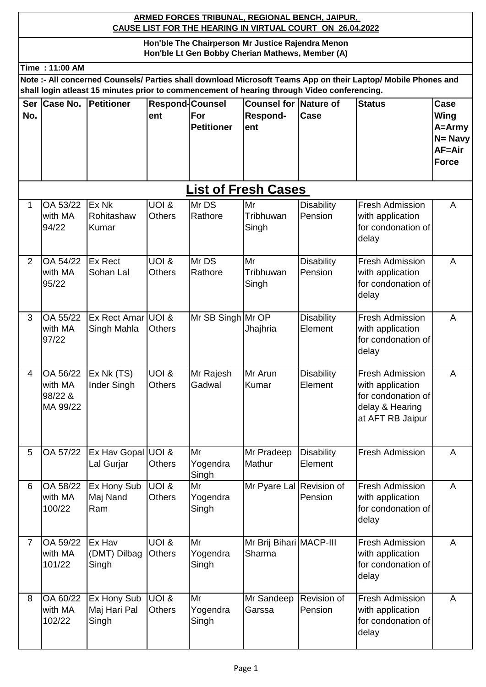## **ARMED FORCES TRIBUNAL, REGIONAL BENCH, JAIPUR, CAUSE LIST FOR THE HEARING IN VIRTUAL COURT ON 26.04.2022**

**Hon'ble The Chairperson Mr Justice Rajendra Menon Hon'ble Lt Gen Bobby Cherian Mathews, Member (A)**

| Time :11:00 AM |  |
|----------------|--|
|----------------|--|

**Note :- All concerned Counsels/ Parties shall download Microsoft Teams App on their Laptop/ Mobile Phones and shall login atleast 15 minutes prior to commencement of hearing through Video conferencing.**

| No.            | Ser   Case No.                             | Petitioner                           | Respond Counsel<br>ent            | For<br><b>Petitioner</b> | <b>Counsel for Nature of</b><br>Respond-<br>ent | Case                         | <b>Status</b>                                                                                           | <b>Case</b><br>Wing<br>$A=Army$<br>N= Navy<br>AF=Air<br><b>Force</b> |
|----------------|--------------------------------------------|--------------------------------------|-----------------------------------|--------------------------|-------------------------------------------------|------------------------------|---------------------------------------------------------------------------------------------------------|----------------------------------------------------------------------|
|                |                                            |                                      |                                   |                          | <b>List of Fresh Cases</b>                      |                              |                                                                                                         |                                                                      |
| 1              | OA 53/22<br>with MA<br>94/22               | Ex Nk<br>Rohitashaw<br>Kumar         | <b>UOI &amp;</b><br><b>Others</b> | Mr DS<br>Rathore         | Mr<br>Tribhuwan<br>Singh                        | <b>Disability</b><br>Pension | <b>Fresh Admission</b><br>with application<br>for condonation of<br>delay                               | A                                                                    |
| $\overline{2}$ | OA 54/22<br>with MA<br>95/22               | Ex Rect<br>Sohan Lal                 | UOI &<br><b>Others</b>            | Mr DS<br>Rathore         | Mr<br>Tribhuwan<br>Singh                        | <b>Disability</b><br>Pension | <b>Fresh Admission</b><br>with application<br>for condonation of<br>delay                               | A                                                                    |
| 3              | OA 55/22<br>with MA<br>97/22               | Ex Rect Amar UOI &<br>Singh Mahla    | <b>Others</b>                     | Mr SB Singh Mr OP        | Jhajhria                                        | <b>Disability</b><br>Element | <b>Fresh Admission</b><br>with application<br>for condonation of<br>delay                               | A                                                                    |
| $\overline{4}$ | OA 56/22<br>with MA<br>98/22 &<br>MA 99/22 | Ex Nk (TS)<br>Inder Singh            | UOI &<br><b>Others</b>            | Mr Rajesh<br>Gadwal      | Mr Arun<br>Kumar                                | <b>Disability</b><br>Element | <b>Fresh Admission</b><br>with application<br>for condonation of<br>delay & Hearing<br>at AFT RB Jaipur | A                                                                    |
| 5              | OA 57/22                                   | Ex Hav Gopal UOI &<br>Lal Gurjar     | Others                            | Mr<br>Yogendra<br>Singh  | Mr Pradeep<br>Mathur                            | <b>Disability</b><br>Element | <b>Fresh Admission</b>                                                                                  | A                                                                    |
| 6              | OA 58/22<br>with MA<br>100/22              | Ex Hony Sub<br>Maj Nand<br>Ram       | UOI &<br><b>Others</b>            | Mr<br>Yogendra<br>Singh  | Mr Pyare Lal Revision of                        | Pension                      | <b>Fresh Admission</b><br>with application<br>for condonation of<br>delay                               | A                                                                    |
| $\overline{7}$ | OA 59/22<br>with MA<br>101/22              | Ex Hav<br>(DMT) Dilbag<br>Singh      | UOI &<br><b>Others</b>            | Mr<br>Yogendra<br>Singh  | Mr Brij Bihari MACP-III<br>Sharma               |                              | <b>Fresh Admission</b><br>with application<br>for condonation of<br>delay                               | A                                                                    |
| 8              | OA 60/22<br>with MA<br>102/22              | Ex Hony Sub<br>Maj Hari Pal<br>Singh | UOI &<br><b>Others</b>            | Mr<br>Yogendra<br>Singh  | Mr Sandeep<br>Garssa                            | Revision of<br>Pension       | <b>Fresh Admission</b><br>with application<br>for condonation of<br>delay                               | A                                                                    |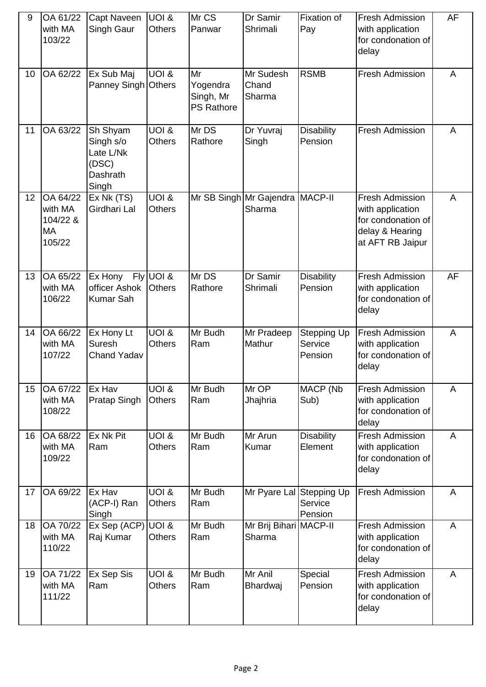| 9  | OA 61/22<br>with MA<br>103/22                          | Capt Naveen<br>Singh Gaur                                               | UOI &<br><b>Others</b>                  | Mr CS<br>Panwar                                  | Dr Samir<br>Shrimali                      | <b>Fixation of</b><br>Pay         | <b>Fresh Admission</b><br>with application<br>for condonation of<br>delay                               | AF             |
|----|--------------------------------------------------------|-------------------------------------------------------------------------|-----------------------------------------|--------------------------------------------------|-------------------------------------------|-----------------------------------|---------------------------------------------------------------------------------------------------------|----------------|
| 10 | OA 62/22                                               | Ex Sub Maj<br>Panney Singh Others                                       | UOI &                                   | Mr<br>Yogendra<br>Singh, Mr<br><b>PS Rathore</b> | Mr Sudesh<br>Chand<br>Sharma              | <b>RSMB</b>                       | <b>Fresh Admission</b>                                                                                  | A              |
| 11 | OA 63/22                                               | Sh Shyam<br>Singh s/o<br>Late L/Nk<br>(DSC)<br><b>Dashrath</b><br>Singh | <b>UOI &amp;</b><br>Others              | Mr DS<br>Rathore                                 | Dr Yuvraj<br>Singh                        | <b>Disability</b><br>Pension      | <b>Fresh Admission</b>                                                                                  | A              |
| 12 | OA 64/22<br>with MA<br>104/22 &<br><b>MA</b><br>105/22 | Ex Nk(TS)<br>Girdhari Lal                                               | $U$ OI $\overline{\&}$<br><b>Others</b> |                                                  | Mr SB Singh Mr Gajendra MACP-II<br>Sharma |                                   | <b>Fresh Admission</b><br>with application<br>for condonation of<br>delay & Hearing<br>at AFT RB Jaipur | A              |
| 13 | OA 65/22<br>with MA<br>106/22                          | Ex Hony<br>officer Ashok<br>Kumar Sah                                   | Fly UOI &<br><b>Others</b>              | Mr DS<br>Rathore                                 | Dr Samir<br>Shrimali                      | <b>Disability</b><br>Pension      | <b>Fresh Admission</b><br>with application<br>for condonation of<br>delay                               | AF             |
| 14 | OA 66/22<br>with MA<br>107/22                          | Ex Hony Lt<br>Suresh<br>Chand Yadav                                     | <b>UOI &amp;</b><br><b>Others</b>       | Mr Budh<br>Ram                                   | Mr Pradeep<br>Mathur                      | Stepping Up<br>Service<br>Pension | <b>Fresh Admission</b><br>with application<br>for condonation of<br>delay                               | A              |
| 15 | OA 67/22<br>with MA<br>108/22                          | Ex Hav<br>Pratap Singh                                                  | UOI &<br><b>Others</b>                  | Mr Budh<br>Ram                                   | Mr OP<br>Jhajhria                         | MACP (Nb<br>Sub)                  | <b>Fresh Admission</b><br>with application<br>for condonation of<br>delay                               | $\overline{A}$ |
| 16 | OA 68/22<br>with MA<br>109/22                          | Ex Nk Pit<br>Ram                                                        | <b>UOI &amp;</b><br><b>Others</b>       | Mr Budh<br>Ram                                   | Mr Arun<br>Kumar                          | <b>Disability</b><br>Element      | <b>Fresh Admission</b><br>with application<br>for condonation of<br>delay                               | A              |
| 17 | OA 69/22                                               | Ex Hav<br>(ACP-I) Ran<br>Singh                                          | UOI &<br><b>Others</b>                  | Mr Budh<br>Ram                                   | Mr Pyare Lal Stepping Up                  | Service<br>Pension                | <b>Fresh Admission</b>                                                                                  | A              |
| 18 | OA 70/22<br>with MA<br>110/22                          | Ex Sep (ACP) UOI &<br>Raj Kumar                                         | <b>Others</b>                           | Mr Budh<br>Ram                                   | Mr Brij Bihari MACP-II<br>Sharma          |                                   | Fresh Admission<br>with application<br>for condonation of<br>delay                                      | $\overline{A}$ |
| 19 | OA 71/22<br>with MA<br>111/22                          | Ex Sep Sis<br>Ram                                                       | UOI &<br><b>Others</b>                  | Mr Budh<br>Ram                                   | Mr Anil<br>Bhardwaj                       | Special<br>Pension                | <b>Fresh Admission</b><br>with application<br>for condonation of<br>delay                               | A              |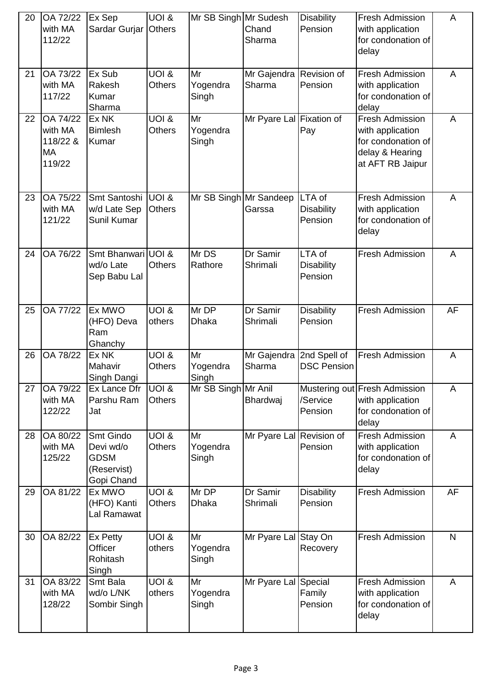| 20 | OA 72/22<br>with MA<br>112/22                          | Ex Sep<br>Sardar Gurjar                                            | UOI &<br><b>Others</b>               | Mr SB Singh Mr Sudesh   | Chand<br>Sharma                    | <b>Disability</b><br>Pension           | <b>Fresh Admission</b><br>with application<br>for condonation of<br>delay                               | A              |
|----|--------------------------------------------------------|--------------------------------------------------------------------|--------------------------------------|-------------------------|------------------------------------|----------------------------------------|---------------------------------------------------------------------------------------------------------|----------------|
| 21 | OA 73/22<br>with MA<br>117/22                          | Ex Sub<br>Rakesh<br>Kumar<br>Sharma                                | UOI &<br><b>Others</b>               | Mr<br>Yogendra<br>Singh | Mr Gajendra Revision of<br>Sharma  | Pension                                | <b>Fresh Admission</b><br>with application<br>for condonation of<br>delay                               | A              |
| 22 | OA 74/22<br>with MA<br>118/22 &<br><b>MA</b><br>119/22 | Ex NK<br><b>Bimlesh</b><br>Kumar                                   | UOI &<br><b>Others</b>               | Mr<br>Yogendra<br>Singh | Mr Pyare Lal Fixation of           | Pay                                    | <b>Fresh Admission</b><br>with application<br>for condonation of<br>delay & Hearing<br>at AFT RB Jaipur | A              |
| 23 | OA 75/22<br>with MA<br>121/22                          | Smt Santoshi<br>w/d Late Sep<br>Sunil Kumar                        | $UOI \overline{\&}$<br><b>Others</b> | Mr SB Singh Mr Sandeep  | Garssa                             | LTA of<br><b>Disability</b><br>Pension | <b>Fresh Admission</b><br>with application<br>for condonation of<br>delay                               | A              |
| 24 | OA 76/22                                               | Smt Bhanwari UOI &<br>wd/o Late<br>Sep Babu Lal                    | <b>Others</b>                        | Mr DS<br>Rathore        | Dr Samir<br>Shrimali               | LTA of<br><b>Disability</b><br>Pension | <b>Fresh Admission</b>                                                                                  | A              |
| 25 | <b>OA 77/22</b>                                        | Ex MWO<br>(HFO) Deva<br>Ram<br>Ghanchy                             | UOI &<br>others                      | Mr DP<br><b>Dhaka</b>   | Dr Samir<br>Shrimali               | <b>Disability</b><br>Pension           | <b>Fresh Admission</b>                                                                                  | <b>AF</b>      |
| 26 | OA 78/22                                               | Ex NK<br>Mahavir<br>Singh Dangi                                    | UOI &<br>Others                      | Mr<br>Yogendra<br>Singh | Mr Gajendra 2nd Spell of<br>Sharma | <b>DSC Pension</b>                     | <b>Fresh Admission</b>                                                                                  | A              |
| 27 | OA 79/22<br>with MA<br>122/22                          | Ex Lance Dfr<br>Parshu Ram<br>Jat                                  | UOI &<br><b>Others</b>               | Mr SB Singh Mr Anil     | Bhardwaj                           | /Service<br>Pension                    | Mustering out Fresh Admission<br>with application<br>for condonation of<br>delay                        | A              |
| 28 | OA 80/22<br>with MA<br>125/22                          | Smt Gindo<br>Devi wd/o<br><b>GDSM</b><br>(Reservist)<br>Gopi Chand | UOI &<br><b>Others</b>               | Mr<br>Yogendra<br>Singh | Mr Pyare Lal Revision of           | Pension                                | <b>Fresh Admission</b><br>with application<br>for condonation of<br>delay                               | A              |
| 29 | OA 81/22                                               | Ex MWO<br>(HFO) Kanti<br>Lal Ramawat                               | UOI &<br><b>Others</b>               | Mr DP<br><b>Dhaka</b>   | Dr Samir<br>Shrimali               | <b>Disability</b><br>Pension           | <b>Fresh Admission</b>                                                                                  | <b>AF</b>      |
| 30 | OA 82/22                                               | Ex Petty<br>Officer<br>Rohitash<br>Singh                           | <b>UOI &amp;</b><br>others           | Mr<br>Yogendra<br>Singh | Mr Pyare Lal Stay On               | Recovery                               | <b>Fresh Admission</b>                                                                                  | $\mathsf{N}$   |
| 31 | OA 83/22<br>with MA<br>128/22                          | Smt Bala<br>wd/o L/NK<br>Sombir Singh                              | UOI &<br>others                      | Mr<br>Yogendra<br>Singh | Mr Pyare Lal Special               | Family<br>Pension                      | <b>Fresh Admission</b><br>with application<br>for condonation of<br>delay                               | $\overline{A}$ |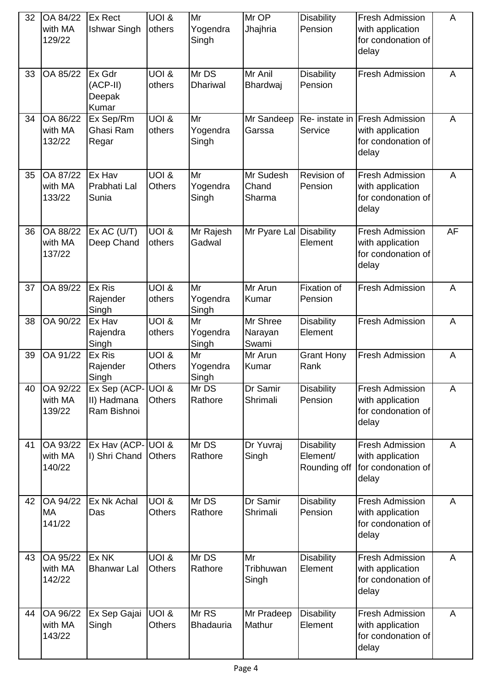| 32 | OA 84/22<br>with MA<br>129/22   | Ex Rect<br><b>Ishwar Singh</b>                  | UOI &<br>others              | Mr<br>Yogendra<br>Singh   | Mr OP<br>Jhajhria            | <b>Disability</b><br>Pension                  | <b>Fresh Admission</b><br>with application<br>for condonation of<br>delay | A  |
|----|---------------------------------|-------------------------------------------------|------------------------------|---------------------------|------------------------------|-----------------------------------------------|---------------------------------------------------------------------------|----|
| 33 | OA 85/22                        | Ex Gdr<br>(ACP-II)<br>Deepak<br>Kumar           | UOI &<br>others              | Mr DS<br><b>Dhariwal</b>  | Mr Anil<br>Bhardwaj          | <b>Disability</b><br>Pension                  | <b>Fresh Admission</b>                                                    | A  |
| 34 | OA 86/22<br>with MA<br>132/22   | Ex Sep/Rm<br>Ghasi Ram<br>Regar                 | UOI &<br>others              | Mr<br>Yogendra<br>Singh   | Mr Sandeep<br>Garssa         | Re- instate in<br>Service                     | <b>Fresh Admission</b><br>with application<br>for condonation of<br>delay | A  |
| 35 | OA 87/22<br>with MA<br>133/22   | Ex Hav<br>Prabhati Lal<br>Sunia                 | <b>UOI &amp;</b><br>Others   | Mr<br>Yogendra<br>Singh   | Mr Sudesh<br>Chand<br>Sharma | Revision of<br>Pension                        | <b>Fresh Admission</b><br>with application<br>for condonation of<br>delay | A  |
| 36 | OA 88/22<br>with MA<br>137/22   | Ex AC (U/T)<br>Deep Chand                       | UOI &<br>others              | Mr Rajesh<br>Gadwal       | Mr Pyare Lal Disability      | Element                                       | <b>Fresh Admission</b><br>with application<br>for condonation of<br>delay | AF |
| 37 | OA 89/22                        | Ex Ris<br>Rajender<br>Singh                     | <b>UOI &amp;</b><br>others   | Mr<br>Yogendra<br>Singh   | Mr Arun<br>Kumar             | <b>Fixation of</b><br>Pension                 | <b>Fresh Admission</b>                                                    | A  |
| 38 | OA 90/22                        | Ex Hav<br>Rajendra<br>Singh                     | UOI &<br>others              | Mr<br>Yogendra<br>Singh   | Mr Shree<br>Narayan<br>Swami | <b>Disability</b><br>Element                  | <b>Fresh Admission</b>                                                    | A  |
| 39 | OA 91/22                        | Ex Ris<br>Rajender<br>Singh                     | UOI &<br><b>Others</b>       | Mr<br>Yogendra<br>Singh   | Mr Arun<br>Kumar             | <b>Grant Hony</b><br>Rank                     | <b>Fresh Admission</b>                                                    | A  |
| 40 | OA 92/22<br>with MA<br>139/22   | Ex Sep (ACP-UOI &<br>II) Hadmana<br>Ram Bishnoi | <b>Others</b>                | Mr DS<br>Rathore          | Dr Samir<br>Shrimali         | <b>Disability</b><br>Pension                  | <b>Fresh Admission</b><br>with application<br>for condonation of<br>delay | A  |
| 41 | OA 93/22<br>with MA<br>140/22   | Ex Hav (ACP-UOI &<br>I) Shri Chand              | <b>Others</b>                | Mr DS<br>Rathore          | Dr Yuvraj<br>Singh           | <b>Disability</b><br>Element/<br>Rounding off | <b>Fresh Admission</b><br>with application<br>for condonation of<br>delay | A  |
| 42 | OA 94/22<br><b>MA</b><br>141/22 | Ex Nk Achal<br>Das                              | UOI &<br><b>Others</b>       | Mr DS<br>Rathore          | Dr Samir<br>Shrimali         | <b>Disability</b><br>Pension                  | <b>Fresh Admission</b><br>with application<br>for condonation of<br>delay | A  |
| 43 | OA 95/22<br>with MA<br>142/22   | Ex NK<br><b>Bhanwar Lal</b>                     | UOI &<br><b>Others</b>       | Mr DS<br>Rathore          | Mr<br>Tribhuwan<br>Singh     | <b>Disability</b><br>Element                  | <b>Fresh Admission</b><br>with application<br>for condonation of<br>delay | A  |
| 44 | OA 96/22<br>with MA<br>143/22   | Ex Sep Gajai<br>Singh                           | <b>BIOU</b><br><b>Others</b> | Mr RS<br><b>Bhadauria</b> | Mr Pradeep<br>Mathur         | <b>Disability</b><br>Element                  | <b>Fresh Admission</b><br>with application<br>for condonation of<br>delay | A  |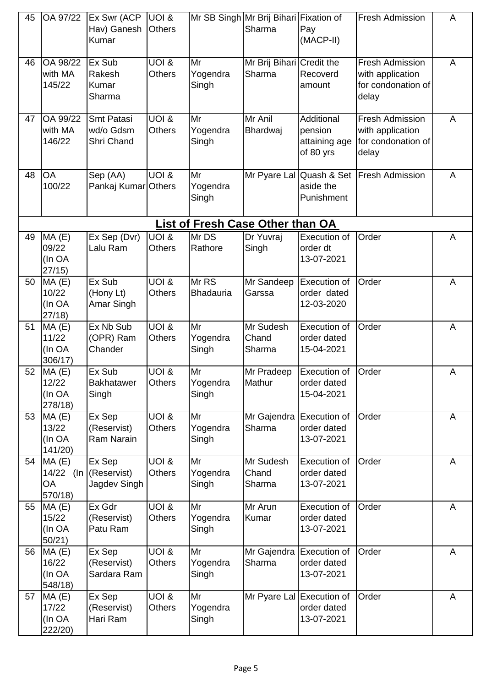| 45 | OA 97/22                             | Ex Swr (ACP<br>Hav) Ganesh<br>Kumar                 | UOI &<br><b>Others</b>            |                           | Mr SB Singh Mr Brij Bihari Fixation of<br>Sharma | Pay<br>(MACP-II)                                    | <b>Fresh Admission</b>                                                    | A |
|----|--------------------------------------|-----------------------------------------------------|-----------------------------------|---------------------------|--------------------------------------------------|-----------------------------------------------------|---------------------------------------------------------------------------|---|
| 46 | OA 98/22<br>with MA<br>145/22        | Ex Sub<br>Rakesh<br>Kumar<br>Sharma                 | UOI &<br><b>Others</b>            | Mr<br>Yogendra<br>Singh   | Mr Brij Bihari Credit the<br>Sharma              | Recoverd<br>amount                                  | <b>Fresh Admission</b><br>with application<br>for condonation of<br>delay | A |
| 47 | OA 99/22<br>with MA<br>146/22        | Smt Patasi<br>wd/o Gdsm<br>Shri Chand               | UOI &<br><b>Others</b>            | Mr<br>Yogendra<br>Singh   | Mr Anil<br>Bhardwaj                              | Additional<br>pension<br>attaining age<br>of 80 yrs | <b>Fresh Admission</b><br>with application<br>for condonation of<br>delay | A |
| 48 | <b>OA</b><br>100/22                  | Sep (AA)<br>Pankaj Kumar Others                     | UOI &                             | Mr<br>Yogendra<br>Singh   | Mr Pyare Lal                                     | Quash & Set<br>aside the<br>Punishment              | <b>Fresh Admission</b>                                                    | A |
|    |                                      |                                                     |                                   |                           | <u>List of Fresh Case Other than OA</u>          |                                                     |                                                                           |   |
| 49 | MA(E)<br>09/22<br>(In OA<br>27/15    | Ex Sep (Dvr)<br>Lalu Ram                            | <b>UOI &amp;</b><br><b>Others</b> | Mr DS<br>Rathore          | Dr Yuvraj<br>Singh                               | Execution of<br>order dt<br>13-07-2021              | Order                                                                     | A |
| 50 | MA(E)<br>10/22<br>(In OA<br>27/18    | Ex Sub<br>(Hony Lt)<br>Amar Singh                   | <b>UOI &amp;</b><br><b>Others</b> | Mr RS<br><b>Bhadauria</b> | Mr Sandeep<br>Garssa                             | Execution of<br>order dated<br>12-03-2020           | Order                                                                     | A |
| 51 | MA(E)<br>11/22<br>(In OA<br>306/17)  | Ex Nb Sub<br>(OPR) Ram<br>Chander                   | UOI &<br><b>Others</b>            | Mr<br>Yogendra<br>Singh   | Mr Sudesh<br>Chand<br>Sharma                     | Execution of<br>order dated<br>15-04-2021           | Order                                                                     | A |
| 52 | MA(E)<br>12/22<br>(In OA<br>278/18)  | Ex Sub<br><b>Bakhatawer</b><br>Singh                | UOI &<br><b>Others</b>            | Mr<br>Yogendra<br>Singh   | Mr Pradeep<br>Mathur                             | Execution of<br>order dated<br>15-04-2021           | Order                                                                     | A |
| 53 | MA(E)<br>13/22<br>(In OA<br>141/20)  | Ex Sep<br>(Reservist)<br>Ram Narain                 | <b>UOI &amp;</b><br><b>Others</b> | Mr<br>Yogendra<br>Singh   | Mr Gajendra<br>Sharma                            | Execution of<br>order dated<br>13-07-2021           | Order                                                                     | A |
| 54 | MA(E)<br>ОA<br>570/18)               | Ex Sep<br>14/22 (In $(Reservist)$ )<br>Jagdev Singh | <b>UOI &amp;</b><br>Others        | Mr<br>Yogendra<br>Singh   | Mr Sudesh<br>Chand<br>Sharma                     | Execution of<br>order dated<br>13-07-2021           | Order                                                                     | A |
| 55 | MA(E)<br>15/22<br>(In OA<br>50/21)   | Ex Gdr<br>(Reservist)<br>Patu Ram                   | <b>UOI &amp;</b><br><b>Others</b> | Mr<br>Yogendra<br>Singh   | Mr Arun<br>Kumar                                 | Execution of<br>order dated<br>13-07-2021           | Order                                                                     | A |
| 56 | MA (E)<br>16/22<br>(In OA<br>548/18) | Ex Sep<br>(Reservist)<br>Sardara Ram                | UOI &<br><b>Others</b>            | Mr<br>Yogendra<br>Singh   | Mr Gajendra<br>Sharma                            | Execution of<br>order dated<br>13-07-2021           | Order                                                                     | A |
| 57 | MA(E)<br>17/22<br>(In OA<br>222/20)  | Ex Sep<br>(Reservist)<br>Hari Ram                   | <b>UOI &amp;</b><br>Others        | Mr<br>Yogendra<br>Singh   | Mr Pyare Lal Execution of                        | order dated<br>13-07-2021                           | Order                                                                     | A |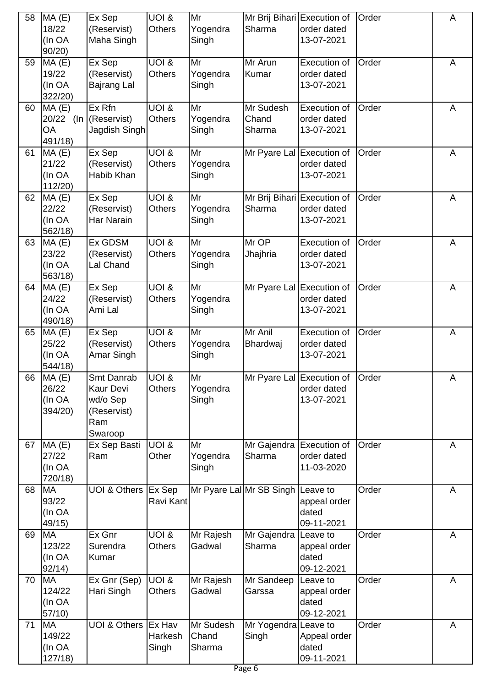| 58 | MA (E)<br>18/22<br>(In OA<br>90/20      | Ex Sep<br>(Reservist)<br>Maha Singh                                  | <b>UOI &amp;</b><br><b>Others</b> | Mr<br>Yogendra<br>Singh      | Mr Brij Bihari Execution of<br>Sharma | order dated<br>13-07-2021                                    | Order | A |
|----|-----------------------------------------|----------------------------------------------------------------------|-----------------------------------|------------------------------|---------------------------------------|--------------------------------------------------------------|-------|---|
| 59 | MA(E)<br>19/22<br>(In OA<br>322/20)     | Ex Sep<br>(Reservist)<br>Bajrang Lal                                 | <b>UOI &amp;</b><br><b>Others</b> | Mr<br>Yogendra<br>Singh      | Mr Arun<br>Kumar                      | Execution of<br>order dated<br>13-07-2021                    | Order | A |
| 60 | MA(E)<br>OA<br>491/18)                  | Ex Rfn<br>20/22 (In (Reservist)<br>Jagdish Singh                     | <b>UOI &amp;</b><br><b>Others</b> | Mr<br>Yogendra<br>Singh      | Mr Sudesh<br>Chand<br>Sharma          | Execution of<br>order dated<br>13-07-2021                    | Order | A |
| 61 | MA(E)<br>21/22<br>(In OA<br>112/20      | Ex Sep<br>(Reservist)<br>Habib Khan                                  | UOI &<br><b>Others</b>            | Mr<br>Yogendra<br>Singh      | Mr Pyare Lal Execution of             | order dated<br>13-07-2021                                    | Order | A |
| 62 | MA(E)<br>22/22<br>(In OA<br>562/18)     | Ex Sep<br>(Reservist)<br>Har Narain                                  | <b>UOI &amp;</b><br><b>Others</b> | Mr<br>Yogendra<br>Singh      | Mr Brij Bihari Execution of<br>Sharma | order dated<br>13-07-2021                                    | Order | A |
| 63 | MA(E)<br>23/22<br>(In OA<br>563/18)     | Ex GDSM<br>(Reservist)<br>Lal Chand                                  | UOI &<br><b>Others</b>            | Mr<br>Yogendra<br>Singh      | Mr OP<br>Jhajhria                     | Execution of<br>order dated<br>13-07-2021                    | Order | A |
| 64 | MA(E)<br>24/22<br>(In OA<br>490/18)     | Ex Sep<br>(Reservist)<br>Ami Lal                                     | UOI &<br><b>Others</b>            | Mr<br>Yogendra<br>Singh      | Mr Pyare Lal Execution of             | order dated<br>13-07-2021                                    | Order | A |
| 65 | MA(E)<br>25/22<br>(In OA<br>544/18)     | Ex Sep<br>(Reservist)<br>Amar Singh                                  | UOI &<br><b>Others</b>            | Mr<br>Yogendra<br>Singh      | Mr Anil<br>Bhardwaj                   | Execution of<br>order dated<br>13-07-2021                    | Order | A |
| 66 | MA(E)<br>26/22<br>(In OA<br>394/20)     | Smt Danrab<br>Kaur Devi<br>wd/o Sep<br>(Reservist)<br>Ram<br>Swaroop | UOI &<br><b>Others</b>            | Mr<br>Yogendra<br>Singh      |                                       | Mr Pyare Lal Execution of Order<br>order dated<br>13-07-2021 |       | A |
| 67 | MA(E)<br>27/22<br>(In OA<br>720/18)     | Ex Sep Basti<br>Ram                                                  | UOI &<br>Other                    | Mr<br>Yogendra<br>Singh      | Mr Gajendra Execution of<br>Sharma    | order dated<br>11-03-2020                                    | Order | A |
| 68 | <b>MA</b><br>93/22<br>(In OA<br>49/15   | UOI & Others Ex Sep                                                  | Ravi Kant                         |                              | Mr Pyare Lal Mr SB Singh Leave to     | appeal order<br>dated<br>09-11-2021                          | Order | A |
| 69 | <b>MA</b><br>123/22<br>(In OA<br>92/14) | Ex Gnr<br>Surendra<br>Kumar                                          | <b>UOI &amp;</b><br>Others        | Mr Rajesh<br>Gadwal          | Mr Gajendra Leave to<br>Sharma        | appeal order<br>dated<br>09-12-2021                          | Order | A |
| 70 | <b>MA</b><br>124/22<br>(In OA<br>57/10  | Ex Gnr (Sep)<br>Hari Singh                                           | <b>UOI &amp;</b><br><b>Others</b> | Mr Rajesh<br>Gadwal          | Mr Sandeep<br>Garssa                  | Leave to<br>appeal order<br>dated<br>09-12-2021              | Order | A |
| 71 | <b>MA</b><br>149/22<br>(In OA<br>127/18 | UOI & Others                                                         | Ex Hav<br>Harkesh<br>Singh        | Mr Sudesh<br>Chand<br>Sharma | Mr Yogendra Leave to<br>Singh         | Appeal order<br>dated<br>09-11-2021                          | Order | A |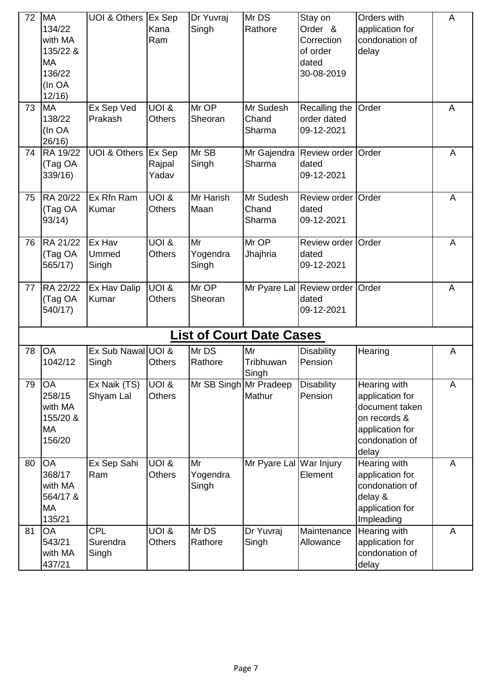| 72 | MA<br>134/22<br>with MA<br>135/22 &<br><b>MA</b><br>136/22<br>(In OA<br>12/16 | UOI & Others   Ex Sep           | Kana<br>Ram                       | Dr Yuvraj<br>Singh      | Mr DS<br>Rathore                | Stay on<br>Order &<br>Correction<br>of order<br>dated<br>30-08-2019 | Orders with<br>application for<br>condonation of<br>delay                                                       | A              |
|----|-------------------------------------------------------------------------------|---------------------------------|-----------------------------------|-------------------------|---------------------------------|---------------------------------------------------------------------|-----------------------------------------------------------------------------------------------------------------|----------------|
| 73 | <b>MA</b><br>138/22<br>(In OA<br>26/16                                        | Ex Sep Ved<br>Prakash           | UOI &<br><b>Others</b>            | Mr OP<br>Sheoran        | Mr Sudesh<br>Chand<br>Sharma    | Recalling the<br>order dated<br>09-12-2021                          | Order                                                                                                           | A              |
| 74 | RA 19/22<br>(Tag OA<br>339/16)                                                | UOI & Others                    | Ex Sep<br>Rajpal<br>Yadav         | Mr SB<br>Singh          | Mr Gajendra<br>Sharma           | Review order Order<br>dated<br>09-12-2021                           |                                                                                                                 | A              |
| 75 | RA 20/22<br>(Tag OA<br>93/14)                                                 | Ex Rfn Ram<br>Kumar             | <b>UOI &amp;</b><br><b>Others</b> | Mr Harish<br>Maan       | Mr Sudesh<br>Chand<br>Sharma    | Review order<br>dated<br>09-12-2021                                 | Order                                                                                                           | $\overline{A}$ |
| 76 | RA 21/22<br>(Tag OA<br>565/17)                                                | Ex Hav<br><b>Ummed</b><br>Singh | <b>UOI &amp;</b><br><b>Others</b> | Mr<br>Yogendra<br>Singh | Mr OP<br>Jhajhria               | Review order<br>dated<br>09-12-2021                                 | Order                                                                                                           | $\overline{A}$ |
| 77 | RA 22/22<br>(Tag OA<br>540/17)                                                | Ex Hav Dalip<br>Kumar           | UOI &<br><b>Others</b>            | Mr OP<br>Sheoran        |                                 | Mr Pyare Lal Review order<br>dated<br>09-12-2021                    | Order                                                                                                           | A              |
|    |                                                                               |                                 |                                   |                         | <b>List of Court Date Cases</b> |                                                                     |                                                                                                                 |                |
| 78 | <b>OA</b><br>1042/12                                                          | Ex Sub Nawal UOI &<br>Singh     | <b>Others</b>                     | Mr DS<br>Rathore        | Mr<br>Tribhuwan<br>Singh        | <b>Disability</b><br>Pension                                        | Hearing                                                                                                         | A              |
| 79 | <b>OA</b><br>258/15<br>with MA<br>155/20 &<br>MA<br>156/20                    | Ex Naik (TS)<br>Shyam Lal       | UOI &<br><b>Others</b>            | Mr SB Singh Mr Pradeep  | Mathur                          | <b>Disability</b><br>Pension                                        | Hearing with<br>application for<br>document taken<br>on records &<br>application for<br>condonation of<br>delay | A              |
| 80 | <b>OA</b><br>368/17<br>with MA<br>564/17 &<br><b>MA</b><br>135/21             | Ex Sep Sahi<br>Ram              | UOI &<br><b>Others</b>            | Mr<br>Yogendra<br>Singh | Mr Pyare Lal                    | War Injury<br>Element                                               | Hearing with<br>application for<br>condonation of<br>delay &<br>application for<br>Impleading                   | A              |
| 81 | <b>OA</b><br>543/21<br>with MA<br>437/21                                      | <b>CPL</b><br>Surendra<br>Singh | UOI &<br><b>Others</b>            | Mr DS<br>Rathore        | Dr Yuvraj<br>Singh              | Maintenance<br>Allowance                                            | <b>Hearing with</b><br>application for<br>condonation of<br>delay                                               | A              |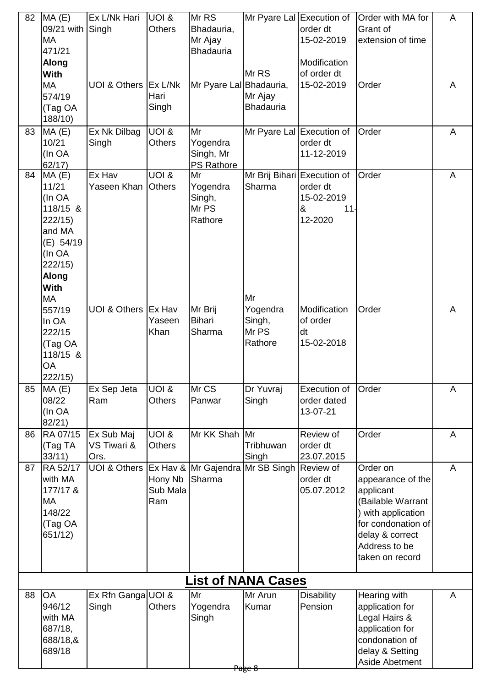| 82 | MA(E)<br>09/21 with Singh<br><b>MA</b><br>471/21<br>Along                                                                             | Ex L/Nk Hari                                  | UOI &<br><b>Others</b>            | Mr RS<br>Bhadauria,<br>Mr Ajay<br><b>Bhadauria</b> | Mr Pyare Lal Execution of              | order dt<br>15-02-2019<br>Modification                                      | Order with MA for<br>Grant of<br>extension of time                                                                                                                 | A |
|----|---------------------------------------------------------------------------------------------------------------------------------------|-----------------------------------------------|-----------------------------------|----------------------------------------------------|----------------------------------------|-----------------------------------------------------------------------------|--------------------------------------------------------------------------------------------------------------------------------------------------------------------|---|
|    | <b>With</b><br><b>MA</b><br>574/19<br>(Tag OA<br>188/10)                                                                              | UOI & Others Ex L/Nk                          | Hari<br>Singh                     | Mr Pyare Lal Bhadauria,                            | Mr RS<br>Mr Ajay<br><b>Bhadauria</b>   | of order dt<br>15-02-2019                                                   | Order                                                                                                                                                              | A |
| 83 | MA(E)<br>10/21<br>(In OA<br>62/17)                                                                                                    | Ex Nk Dilbag<br>Singh                         | <b>UOI &amp;</b><br><b>Others</b> | Mr<br>Yogendra<br>Singh, Mr<br><b>PS Rathore</b>   | Mr Pyare Lal Execution of              | order dt<br>11-12-2019                                                      | Order                                                                                                                                                              | A |
| 84 | MA(E)<br>11/21<br>(In OA<br>118/15 &<br>222/15<br>and MA<br>(E) 54/19<br>(In OA<br>222/15<br><b>Along</b><br><b>With</b><br><b>MA</b> | Ex Hav<br>Yaseen Khan                         | <b>UOI &amp;</b><br><b>Others</b> | Mr<br>Yogendra<br>Singh,<br>Mr PS<br>Rathore       | Sharma<br>Mr                           | Mr Brij Bihari Execution of<br>order dt<br>15-02-2019<br>11<br>&<br>12-2020 | Order                                                                                                                                                              | A |
|    | 557/19<br>In OA<br>222/15<br>(Tag OA<br>118/15 &<br>OA<br>222/15                                                                      | UOI & Others Ex Hav                           | Yaseen<br>Khan                    | Mr Brij<br><b>Bihari</b><br>Sharma                 | Yogendra<br>Singh,<br>Mr PS<br>Rathore | Modification<br>of order<br>dt<br>15-02-2018                                | Order                                                                                                                                                              | A |
| 85 | MA(E)<br>08/22<br>(In OA<br>82/21)                                                                                                    | Ex Sep Jeta<br>Ram                            | <b>UOI &amp;</b><br><b>Others</b> | Mr CS<br>Panwar                                    | Dr Yuvraj<br>Singh                     | Execution of<br>order dated<br>13-07-21                                     | Order                                                                                                                                                              | A |
| 86 | RA 07/15<br>(Tag TA<br>33/11)                                                                                                         | Ex Sub Maj<br>VS Tiwari &<br>Ors.             | <b>UOI &amp;</b><br><b>Others</b> | Mr KK Shah Mr                                      | Tribhuwan<br>Singh                     | Review of<br>order dt<br>23.07.2015                                         | Order                                                                                                                                                              | A |
| 87 | RA 52/17<br>with MA<br>177/17 &<br><b>MA</b><br>148/22<br>(Tag OA<br>651/12)                                                          | UOI & Others Ex Hav & Mr Gajendra Mr SB Singh | Hony Nb<br>Sub Mala<br>Ram        | Sharma                                             |                                        | Review of<br>order dt<br>05.07.2012                                         | Order on<br>appearance of the<br>applicant<br>(Bailable Warrant<br>) with application<br>for condonation of<br>delay & correct<br>Address to be<br>taken on record | A |
|    |                                                                                                                                       |                                               |                                   |                                                    | List of NANA Cases                     |                                                                             |                                                                                                                                                                    |   |
| 88 | <b>OA</b><br>946/12<br>with MA<br>687/18,<br>688/18,&<br>689/18                                                                       | Ex Rfn Ganga UOI &<br>Singh                   | <b>Others</b>                     | Mr<br>Yogendra<br>Singh                            | Mr Arun<br>Kumar                       | <b>Disability</b><br>Pension                                                | Hearing with<br>application for<br>Legal Hairs &<br>application for<br>condonation of<br>delay & Setting<br>Aside Abetment                                         | A |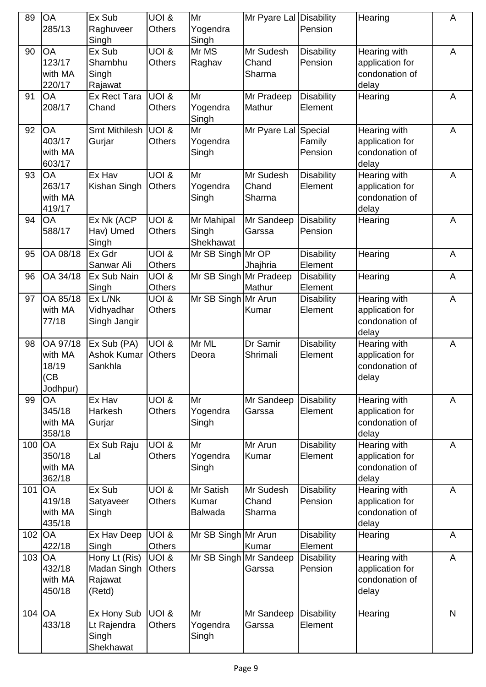| 89  | <b>OA</b><br>285/13                              | Ex Sub<br>Raghuveer<br>Singh                      | UOI &<br><b>Others</b>            | Mr<br>Yogendra<br>Singh              | Mr Pyare Lal Disability      | Pension                      | Hearing                                                    | A              |
|-----|--------------------------------------------------|---------------------------------------------------|-----------------------------------|--------------------------------------|------------------------------|------------------------------|------------------------------------------------------------|----------------|
| 90  | <b>OA</b><br>123/17<br>with MA<br>220/17         | Ex Sub<br>Shambhu<br>Singh<br>Rajawat             | UOI &<br>Others                   | Mr MS<br>Raghav                      | Mr Sudesh<br>Chand<br>Sharma | <b>Disability</b><br>Pension | Hearing with<br>application for<br>condonation of<br>delay | A              |
| 91  | <b>OA</b><br>208/17                              | <b>Ex Rect Tara</b><br>Chand                      | <b>UOI &amp;</b><br><b>Others</b> | Mr<br>Yogendra<br>Singh              | Mr Pradeep<br>Mathur         | <b>Disability</b><br>Element | Hearing                                                    | A              |
| 92  | <b>OA</b><br>403/17<br>with MA<br>603/17         | <b>Smt Mithilesh</b><br>Gurjar                    | UOI &<br>Others                   | Mr<br>Yogendra<br>Singh              | Mr Pyare Lal Special         | Family<br>Pension            | Hearing with<br>application for<br>condonation of<br>delay | A              |
| 93  | <b>OA</b><br>263/17<br>with MA<br>419/17         | Ex Hav<br>Kishan Singh                            | <b>UOI &amp;</b><br>Others        | Mr<br>Yogendra<br>Singh              | Mr Sudesh<br>Chand<br>Sharma | <b>Disability</b><br>Element | Hearing with<br>application for<br>condonation of<br>delay | $\overline{A}$ |
| 94  | OA<br>588/17                                     | Ex Nk (ACP<br>Hav) Umed<br>Singh                  | UOI &<br><b>Others</b>            | Mr Mahipal<br>Singh<br>Shekhawat     | Mr Sandeep<br>Garssa         | <b>Disability</b><br>Pension | Hearing                                                    | A              |
| 95  | OA 08/18                                         | Ex Gdr<br>Sanwar Ali                              | <b>UOI &amp;</b><br><b>Others</b> | Mr SB Singh Mr OP                    | Jhajhria                     | <b>Disability</b><br>Element | Hearing                                                    | A              |
| 96  | OA 34/18                                         | Ex Sub Nain<br>Singh                              | UOI &<br>Others                   | Mr SB Singh Mr Pradeep               | Mathur                       | <b>Disability</b><br>Element | Hearing                                                    | A              |
| 97  | OA 85/18<br>with MA<br>77/18                     | Ex L/Nk<br>Vidhyadhar<br>Singh Jangir             | <b>UOI &amp;</b><br><b>Others</b> | Mr SB Singh Mr Arun                  | Kumar                        | <b>Disability</b><br>Element | Hearing with<br>application for<br>condonation of<br>delay | A              |
| 98  | OA 97/18<br>with MA<br>18/19<br>(CB)<br>Jodhpur) | Ex Sub (PA)<br><b>Ashok Kumar</b><br>Sankhla      | UOI &<br><b>Others</b>            | Mr ML<br>Deora                       | Dr Samir<br>Shrimali         | <b>Disability</b><br>Element | Hearing with<br>application for<br>condonation of<br>delay | A              |
| 99  | OA<br>345/18<br>with MA<br>358/18                | Ex Hav<br>Harkesh<br>Gurjar                       | <b>UOI &amp;</b><br>Others        | Mr<br>Yogendra<br>Singh              | Mr Sandeep<br>Garssa         | <b>Disability</b><br>Element | Hearing with<br>application for<br>condonation of<br>delay | A              |
| 100 | <b>OA</b><br>350/18<br>with MA<br>362/18         | Ex Sub Raju<br>Lal                                | <b>UOI &amp;</b><br>Others        | Mr<br>Yogendra<br>Singh              | Mr Arun<br>Kumar             | <b>Disability</b><br>Element | Hearing with<br>application for<br>condonation of<br>delay | A              |
| 101 | OA<br>419/18<br>with MA<br>435/18                | Ex Sub<br>Satyaveer<br>Singh                      | <b>UOI &amp;</b><br>Others        | Mr Satish<br>Kumar<br><b>Balwada</b> | Mr Sudesh<br>Chand<br>Sharma | <b>Disability</b><br>Pension | Hearing with<br>application for<br>condonation of<br>delay | A              |
| 102 | OA<br>422/18                                     | Ex Hav Deep<br>Singh                              | <b>UOI &amp;</b><br><b>Others</b> | Mr SB Singh Mr Arun                  | Kumar                        | <b>Disability</b><br>Element | Hearing                                                    | A              |
| 103 | OA<br>432/18<br>with MA<br>450/18                | Hony Lt (Ris)<br>Madan Singh<br>Rajawat<br>(Retd) | UOI &<br>Others                   | Mr SB Singh Mr Sandeep               | Garssa                       | <b>Disability</b><br>Pension | Hearing with<br>application for<br>condonation of<br>delay | A              |
| 104 | OA<br>433/18                                     | Ex Hony Sub<br>Lt Rajendra<br>Singh<br>Shekhawat  | <b>UOI &amp;</b><br><b>Others</b> | Mr<br>Yogendra<br>Singh              | Mr Sandeep<br>Garssa         | <b>Disability</b><br>Element | Hearing                                                    | ${\sf N}$      |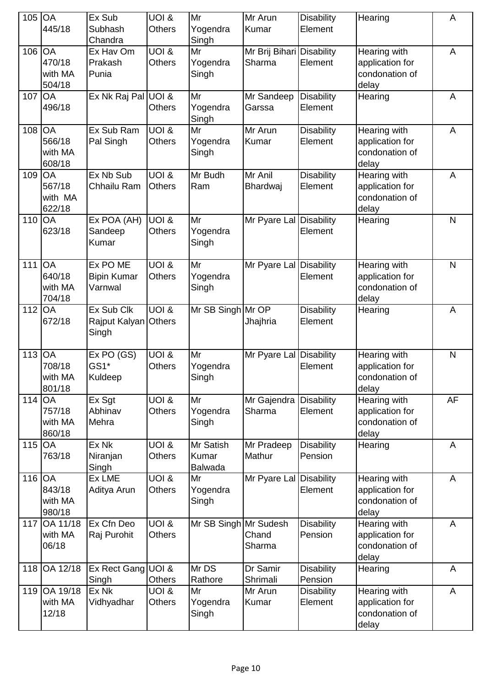| 105 | <b>OA</b><br>445/18                      | Ex Sub<br>Subhash<br>Chandra                | UOI &<br>Others                   | Mr<br>Yogendra<br>Singh              | Mr Arun<br>Kumar                    | <b>Disability</b><br>Element | Hearing                                                    | A            |
|-----|------------------------------------------|---------------------------------------------|-----------------------------------|--------------------------------------|-------------------------------------|------------------------------|------------------------------------------------------------|--------------|
| 106 | <b>OA</b><br>470/18<br>with MA<br>504/18 | Ex Hav Om<br>Prakash<br>Punia               | UOI &<br>Others                   | Mr<br>Yogendra<br>Singh              | Mr Brij Bihari Disability<br>Sharma | Element                      | Hearing with<br>application for<br>condonation of<br>delay | A            |
| 107 | <b>OA</b><br>496/18                      | Ex Nk Raj Pal UOI &                         | Others                            | Mr<br>Yogendra<br>Singh              | Mr Sandeep<br>Garssa                | <b>Disability</b><br>Element | Hearing                                                    | A            |
| 108 | <b>OA</b><br>566/18<br>with MA<br>608/18 | Ex Sub Ram<br>Pal Singh                     | UOI &<br>Others                   | Mr<br>Yogendra<br>Singh              | Mr Arun<br>Kumar                    | <b>Disability</b><br>Element | Hearing with<br>application for<br>condonation of<br>delay | A            |
| 109 | <b>OA</b><br>567/18<br>with MA<br>622/18 | Ex Nb Sub<br>Chhailu Ram                    | <b>UOI &amp;</b><br><b>Others</b> | Mr Budh<br>Ram                       | Mr Anil<br>Bhardwaj                 | <b>Disability</b><br>Element | Hearing with<br>application for<br>condonation of<br>delay | A            |
| 110 | OA<br>623/18                             | Ex POA (AH)<br>Sandeep<br>Kumar             | UOI &<br><b>Others</b>            | Mr<br>Yogendra<br>Singh              | Mr Pyare Lal Disability             | Element                      | Hearing                                                    | $\mathsf{N}$ |
| 111 | OA<br>640/18<br>with MA<br>704/18        | Ex PO ME<br><b>Bipin Kumar</b><br>Varnwal   | UOI &<br>Others                   | Mr<br>Yogendra<br>Singh              | Mr Pyare Lal Disability             | Element                      | Hearing with<br>application for<br>condonation of<br>delay | $\mathsf{N}$ |
| 112 | <b>OA</b><br>672/18                      | Ex Sub Clk<br>Rajput Kalyan Others<br>Singh | UOI &                             | Mr SB Singh Mr OP                    | Jhajhria                            | <b>Disability</b><br>Element | Hearing                                                    | A            |
| 113 | <b>OA</b><br>708/18<br>with MA<br>801/18 | Ex PO (GS)<br>GS1*<br>Kuldeep               | UOI &<br>Others                   | Mr<br>Yogendra<br>Singh              | Mr Pyare Lal Disability             | Element                      | Hearing with<br>application for<br>condonation of<br>delay | $\mathsf{N}$ |
| 114 | OA<br>757/18<br>with MA<br>860/18        | Ex Sgt<br>Abhinav<br>Mehra                  | <b>UOI &amp;</b><br>Others        | Mr<br>Yogendra<br>Singh              | Mr Gajendra<br>Sharma               | <b>Disability</b><br>Element | Hearing with<br>application for<br>condonation of<br>delay | AF           |
| 115 | <b>OA</b><br>763/18                      | Ex Nk<br>Niranjan<br>Singh                  | <b>UOI &amp;</b><br>Others        | Mr Satish<br>Kumar<br><b>Balwada</b> | Mr Pradeep<br>Mathur                | <b>Disability</b><br>Pension | Hearing                                                    | A            |
| 116 | <b>OA</b><br>843/18<br>with MA<br>980/18 | Ex LME<br>Aditya Arun                       | <b>UOI &amp;</b><br>Others        | Mr<br>Yogendra<br>Singh              | Mr Pyare Lal Disability             | Element                      | Hearing with<br>application for<br>condonation of<br>delay | A            |
| 117 | OA 11/18<br>with MA<br>06/18             | Ex Cfn Deo<br>Raj Purohit                   | UOI &<br><b>Others</b>            | Mr SB Singh Mr Sudesh                | Chand<br>Sharma                     | <b>Disability</b><br>Pension | Hearing with<br>application for<br>condonation of<br>delay | A            |
| 118 | OA 12/18                                 | Ex Rect Gang<br>Singh                       | UOI &<br><b>Others</b>            | Mr DS<br>Rathore                     | Dr Samir<br>Shrimali                | <b>Disability</b><br>Pension | Hearing                                                    | A            |
| 119 | OA 19/18<br>with MA<br>12/18             | Ex Nk<br>Vidhyadhar                         | UOI &<br>Others                   | Mr<br>Yogendra<br>Singh              | Mr Arun<br>Kumar                    | <b>Disability</b><br>Element | Hearing with<br>application for<br>condonation of<br>delay | A            |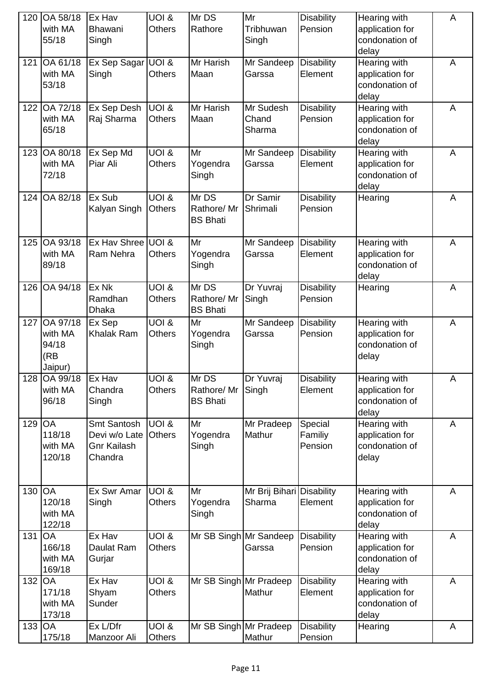| 120 | OA 58/18<br>with MA<br>55/18                    | Ex Hav<br><b>Bhawani</b><br>Singh                             | UOI &<br>Others                   | Mr DS<br>Rathore                                    | Mr<br>Tribhuwan<br>Singh     | <b>Disability</b><br>Pension  | Hearing with<br>application for<br>condonation of<br>delay | A |
|-----|-------------------------------------------------|---------------------------------------------------------------|-----------------------------------|-----------------------------------------------------|------------------------------|-------------------------------|------------------------------------------------------------|---|
| 121 | OA 61/18<br>with MA<br>53/18                    | Ex Sep Sagar UOI &<br>Singh                                   | <b>Others</b>                     | Mr Harish<br>Maan                                   | Mr Sandeep<br>Garssa         | <b>Disability</b><br>Element  | Hearing with<br>application for<br>condonation of<br>delay | A |
| 122 | OA 72/18<br>with MA<br>65/18                    | Ex Sep Desh<br>Raj Sharma                                     | UOI &<br><b>Others</b>            | Mr Harish<br>Maan                                   | Mr Sudesh<br>Chand<br>Sharma | <b>Disability</b><br>Pension  | Hearing with<br>application for<br>condonation of<br>delay | A |
| 123 | OA 80/18<br>with MA<br>72/18                    | Ex Sep Md<br>Piar Ali                                         | UOI &<br><b>Others</b>            | Mr<br>Yogendra<br>Singh                             | Mr Sandeep<br>Garssa         | <b>Disability</b><br>Element  | Hearing with<br>application for<br>condonation of<br>delay | A |
|     | 124 OA 82/18                                    | Ex Sub<br>Kalyan Singh                                        | <b>UOI &amp;</b><br><b>Others</b> | Mr DS<br>Rathore/ Mr<br><b>BS Bhati</b>             | Dr Samir<br>Shrimali         | <b>Disability</b><br>Pension  | Hearing                                                    | A |
| 125 | OA 93/18<br>with MA<br>89/18                    | Ex Hav Shree<br>Ram Nehra                                     | UOI &<br><b>Others</b>            | Mr<br>Yogendra<br>Singh                             | Mr Sandeep<br>Garssa         | <b>Disability</b><br>Element  | Hearing with<br>application for<br>condonation of<br>delay | A |
| 126 | OA 94/18                                        | Ex Nk<br>Ramdhan<br><b>Dhaka</b>                              | <b>UOI &amp;</b><br><b>Others</b> | Mr DS<br>Rathore/Mr<br><b>BS Bhati</b>              | Dr Yuvraj<br>Singh           | <b>Disability</b><br>Pension  | Hearing                                                    | A |
| 127 | OA 97/18<br>with MA<br>94/18<br>(RB)<br>Jaipur) | Ex Sep<br><b>Khalak Ram</b>                                   | <b>UOI &amp;</b><br><b>Others</b> | Mr<br>Yogendra<br>Singh                             | Mr Sandeep<br>Garssa         | <b>Disability</b><br>Pension  | Hearing with<br>application for<br>condonation of<br>delay | A |
|     | 128 OA 99/18<br>with MA<br>96/18                | <b>Ex Hav</b><br>Chandra<br>Singh                             | UOI &<br><b>Others</b>            | $Mr\overline{DS}$<br>Rathore/ Mr<br><b>BS Bhati</b> | Dr Yuvraj<br>Singh           | <b>Disability</b><br>Element  | Hearing with<br>application for<br>condonation of<br>delay | А |
| 129 | <b>OA</b><br>118/18<br>with MA<br>120/18        | <b>Smt Santosh</b><br>Devi w/o Late<br>Gnr Kailash<br>Chandra | UOI &<br><b>Others</b>            | Mr<br>Yogendra<br>Singh                             | Mr Pradeep<br>Mathur         | Special<br>Familiy<br>Pension | Hearing with<br>application for<br>condonation of<br>delay | A |
| 130 | <b>OA</b><br>120/18<br>with MA<br>122/18        | Ex Swr Amar<br>Singh                                          | <b>UOI &amp;</b><br>Others        | Mr<br>Yogendra<br>Singh                             | Mr Brij Bihari<br>Sharma     | <b>Disability</b><br>Element  | Hearing with<br>application for<br>condonation of<br>delay | A |
| 131 | <b>OA</b><br>166/18<br>with MA<br>169/18        | Ex Hav<br>Daulat Ram<br>Gurjar                                | $UOI \&$<br>Others                | Mr SB Singh Mr Sandeep                              | Garssa                       | <b>Disability</b><br>Pension  | Hearing with<br>application for<br>condonation of<br>delay | A |
| 132 | <b>OA</b><br>171/18<br>with MA<br>173/18        | Ex Hav<br>Shyam<br>Sunder                                     | <b>UOI &amp;</b><br><b>Others</b> | Mr SB Singh Mr Pradeep                              | Mathur                       | <b>Disability</b><br>Element  | Hearing with<br>application for<br>condonation of<br>delay | A |
| 133 | <b>OA</b><br>175/18                             | Ex L/Dfr<br>Manzoor Ali                                       | <b>UOI &amp;</b><br>Others        | Mr SB Singh Mr Pradeep                              | Mathur                       | <b>Disability</b><br>Pension  | Hearing                                                    | A |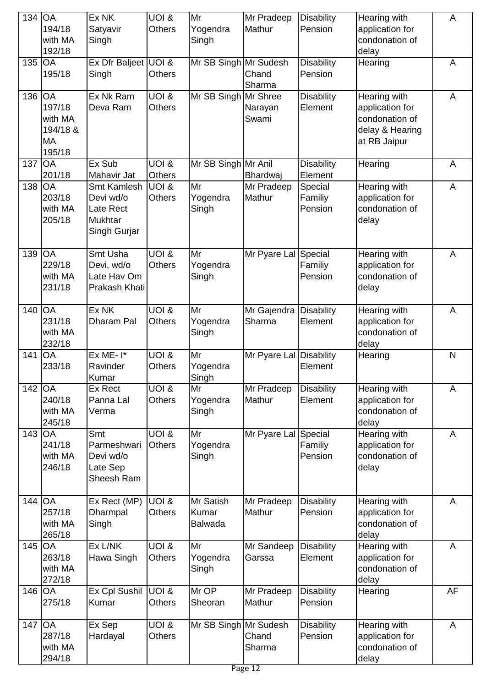| 134 OA | 194/18<br>with MA<br>192/18                          | Ex NK<br>Satyavir<br>Singh                                              | UOI &<br><b>Others</b>                  | Mr<br>Yogendra<br>Singh              | Mr Pradeep<br>Mathur             | <b>Disability</b><br>Pension  | Hearing with<br>application for<br>condonation of<br>delay                           | A            |
|--------|------------------------------------------------------|-------------------------------------------------------------------------|-----------------------------------------|--------------------------------------|----------------------------------|-------------------------------|--------------------------------------------------------------------------------------|--------------|
| 135    | <b>OA</b><br>195/18                                  | Ex Dfr Baljeet UOI &<br>Singh                                           | <b>Others</b>                           | Mr SB Singh Mr Sudesh                | Chand<br>Sharma                  | <b>Disability</b><br>Pension  | Hearing                                                                              | A            |
| 136 OA | 197/18<br>with MA<br>194/18 &<br><b>MA</b><br>195/18 | Ex Nk Ram<br>Deva Ram                                                   | UOI &<br><b>Others</b>                  | Mr SB Singh Mr Shree                 | Narayan<br>Swami                 | <b>Disability</b><br>Element  | Hearing with<br>application for<br>condonation of<br>delay & Hearing<br>at RB Jaipur | A            |
| 137    | <b>OA</b><br>201/18                                  | Ex Sub<br>Mahavir Jat                                                   | UOI &<br><b>Others</b>                  | Mr SB Singh Mr Anil                  | Bhardwaj                         | <b>Disability</b><br>Element  | Hearing                                                                              | A            |
| 138    | <b>OA</b><br>203/18<br>with MA<br>205/18             | Smt Kamlesh<br>Devi wd/o<br>Late Rect<br><b>Mukhtar</b><br>Singh Gurjar | UOI &<br><b>Others</b>                  | Mr<br>Yogendra<br>Singh              | Mr Pradeep<br>Mathur             | Special<br>Familiy<br>Pension | Hearing with<br>application for<br>condonation of<br>delay                           | A            |
| 139    | <b>OA</b><br>229/18<br>with MA<br>231/18             | Smt Usha<br>Devi, wd/o<br>Late Hav Om<br>Prakash Khati                  | <b>UOI &amp;</b><br><b>Others</b>       | Mr<br>Yogendra<br>Singh              | Mr Pyare Lal Special             | Familiy<br>Pension            | Hearing with<br>application for<br>condonation of<br>delay                           | A            |
| 140    | <b>OA</b><br>231/18<br>with MA<br>232/18             | Ex NK<br>Dharam Pal                                                     | $U$ OI $\overline{\&}$<br><b>Others</b> | Mr<br>Yogendra<br>Singh              | Mr Gajendra Disability<br>Sharma | Element                       | Hearing with<br>application for<br>condonation of<br>delay                           | A            |
| 141    | <b>OA</b><br>233/18                                  | $ExME-I^*$<br>Ravinder<br>Kumar                                         | <b>UOI &amp;</b><br><b>Others</b>       | Mr<br>Yogendra<br>Singh              | Mr Pyare Lal Disability          | Element                       | Hearing                                                                              | $\mathsf{N}$ |
| 142 OA | 240/18<br>with MA<br>245/18                          | Ex Rect<br>Panna Lal<br>Verma                                           | <b>UOI &amp;</b><br><b>Others</b>       | Mr<br>Yogendra<br>Singh              | Mr Pradeep<br>Mathur             | <b>Disability</b><br>Element  | Hearing with<br>application for<br>condonation of<br>delay                           | A            |
| 143    | <b>OA</b><br>241/18<br>with MA<br>246/18             | Smt<br>Parmeshwari<br>Devi wd/o<br>Late Sep<br>Sheesh Ram               | <b>UOI &amp;</b><br><b>Others</b>       | Mr<br>Yogendra<br>Singh              | Mr Pyare Lal Special             | Familiy<br>Pension            | Hearing with<br>application for<br>condonation of<br>delay                           | A            |
| 144    | <b>OA</b><br>257/18<br>with MA<br>265/18             | Ex Rect (MP)<br>Dharmpal<br>Singh                                       | $UOI \overline{\&}$<br><b>Others</b>    | Mr Satish<br>Kumar<br><b>Balwada</b> | Mr Pradeep<br>Mathur             | <b>Disability</b><br>Pension  | Hearing with<br>application for<br>condonation of<br>delay                           | A            |
| 145    | <b>OA</b><br>263/18<br>with MA<br>272/18             | Ex L/NK<br>Hawa Singh                                                   | UOI &<br><b>Others</b>                  | Mr<br>Yogendra<br>Singh              | Mr Sandeep<br>Garssa             | <b>Disability</b><br>Element  | Hearing with<br>application for<br>condonation of<br>delay                           | A            |
| 146    | <b>OA</b><br>275/18                                  | Ex Cpl Sushil<br>Kumar                                                  | UOI &<br><b>Others</b>                  | Mr OP<br>Sheoran                     | Mr Pradeep<br>Mathur             | <b>Disability</b><br>Pension  | Hearing                                                                              | AF           |
| 147 OA | 287/18<br>with MA<br>294/18                          | Ex Sep<br>Hardayal                                                      | <b>UOI &amp;</b><br><b>Others</b>       | Mr SB Singh Mr Sudesh                | Chand<br>Sharma                  | <b>Disability</b><br>Pension  | Hearing with<br>application for<br>condonation of<br>delay                           | A            |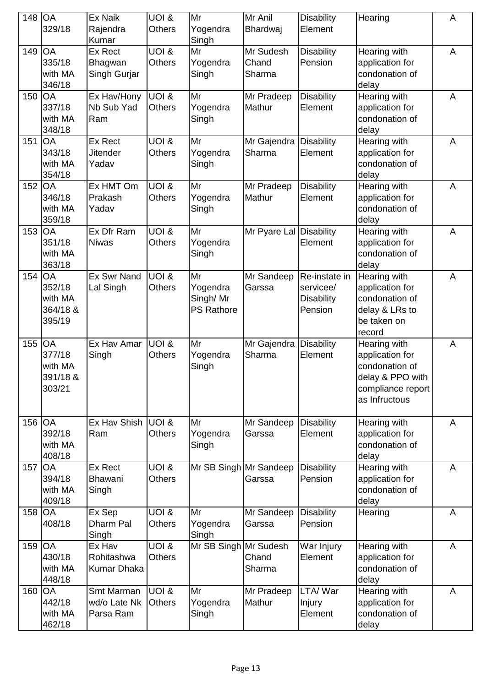| 148 OA | 329/18                                               | Ex Naik<br>Rajendra<br>Kumar               | UOI &<br><b>Others</b>            | Mr<br>Yogendra<br>Singh                         | Mr Anil<br><b>Bhardwaj</b>       | <b>Disability</b><br>Element                               | Hearing                                                                                                     | A |
|--------|------------------------------------------------------|--------------------------------------------|-----------------------------------|-------------------------------------------------|----------------------------------|------------------------------------------------------------|-------------------------------------------------------------------------------------------------------------|---|
| 149    | OA<br>335/18<br>with MA<br>346/18                    | Ex Rect<br>Bhagwan<br>Singh Gurjar         | <b>UOI &amp;</b><br><b>Others</b> | Mr<br>Yogendra<br>Singh                         | Mr Sudesh<br>Chand<br>Sharma     | <b>Disability</b><br>Pension                               | Hearing with<br>application for<br>condonation of<br>delay                                                  | A |
| 150    | OA<br>337/18<br>with MA<br>348/18                    | Ex Hav/Hony<br>Nb Sub Yad<br>Ram           | <b>UOI &amp;</b><br>Others        | Mr<br>Yogendra<br>Singh                         | Mr Pradeep<br>Mathur             | <b>Disability</b><br>Element                               | Hearing with<br>application for<br>condonation of<br>delay                                                  | A |
| 151    | <b>OA</b><br>343/18<br>with MA<br>354/18             | Ex Rect<br><b>Jitender</b><br>Yadav        | <b>UOI &amp;</b><br><b>Others</b> | Mr<br>Yogendra<br>Singh                         | Mr Gajendra<br>Sharma            | <b>Disability</b><br>Element                               | Hearing with<br>application for<br>condonation of<br>delay                                                  | A |
| 152    | <b>IOA</b><br>346/18<br>with MA<br>359/18            | Ex HMT Om<br>Prakash<br>Yadav              | UOI &<br><b>Others</b>            | Mr<br>Yogendra<br>Singh                         | Mr Pradeep<br>Mathur             | <b>Disability</b><br>Element                               | Hearing with<br>application for<br>condonation of<br>delay                                                  | A |
| 153    | OA<br>351/18<br>with MA<br>363/18                    | Ex Dfr Ram<br><b>Niwas</b>                 | UOI &<br><b>Others</b>            | Mr<br>Yogendra<br>Singh                         | Mr Pyare Lal                     | <b>Disability</b><br>Element                               | Hearing with<br>application for<br>condonation of<br>delay                                                  | A |
| 154    | <b>OA</b><br>352/18<br>with MA<br>364/18 &<br>395/19 | <b>Ex Swr Nand</b><br>Lal Singh            | UOI &<br><b>Others</b>            | Mr<br>Yogendra<br>Singh/Mr<br><b>PS Rathore</b> | Mr Sandeep<br>Garssa             | Re-instate in<br>servicee/<br><b>Disability</b><br>Pension | Hearing with<br>application for<br>condonation of<br>delay & LRs to<br>be taken on<br>record                | A |
| 155    | <b>OA</b><br>377/18<br>with MA<br>391/18 &<br>303/21 | Ex Hav Amar<br>Singh                       | UOI &<br>Others                   | Mr<br>Yogendra<br>Singh                         | Mr Gajendra<br>Sharma            | <b>Disability</b><br>Element                               | Hearing with<br>application for<br>condonation of<br>delay & PPO with<br>compliance report<br>as Infructous | A |
| 156    | OA<br>392/18<br>with MA<br>408/18                    | Ex Hav Shish<br>Ram                        | <b>UOI &amp;</b><br>Others        | Mr<br>Yogendra<br>Singh                         | Mr Sandeep<br>Garssa             | <b>Disability</b><br>Element                               | Hearing with<br>application for<br>condonation of<br>delay                                                  | A |
| 157    | <b>OA</b><br>394/18<br>with MA<br>409/18             | Ex Rect<br>Bhawani<br>Singh                | <b>UOI &amp;</b><br><b>Others</b> |                                                 | Mr SB Singh Mr Sandeep<br>Garssa | <b>Disability</b><br>Pension                               | Hearing with<br>application for<br>condonation of<br>delay                                                  | A |
| 158    | OA<br>408/18                                         | Ex Sep<br>Dharm Pal<br>Singh               | <b>UOI &amp;</b><br><b>Others</b> | Mr<br>Yogendra<br>Singh                         | Mr Sandeep<br>Garssa             | <b>Disability</b><br>Pension                               | Hearing                                                                                                     | A |
| 159    | <b>OA</b><br>430/18<br>with MA<br>448/18             | Ex Hav<br>Rohitashwa<br><b>Kumar Dhaka</b> | <b>UOI &amp;</b><br><b>Others</b> | Mr SB Singh Mr Sudesh                           | Chand<br>Sharma                  | War Injury<br>Element                                      | Hearing with<br>application for<br>condonation of<br>delay                                                  | A |
| 160    | <b>OA</b><br>442/18<br>with MA<br>462/18             | Smt Marman<br>wd/o Late Nk<br>Parsa Ram    | <b>UOI &amp;</b><br><b>Others</b> | Mr<br>Yogendra<br>Singh                         | Mr Pradeep<br>Mathur             | LTA/ War<br>Injury<br>Element                              | Hearing with<br>application for<br>condonation of<br>delay                                                  | A |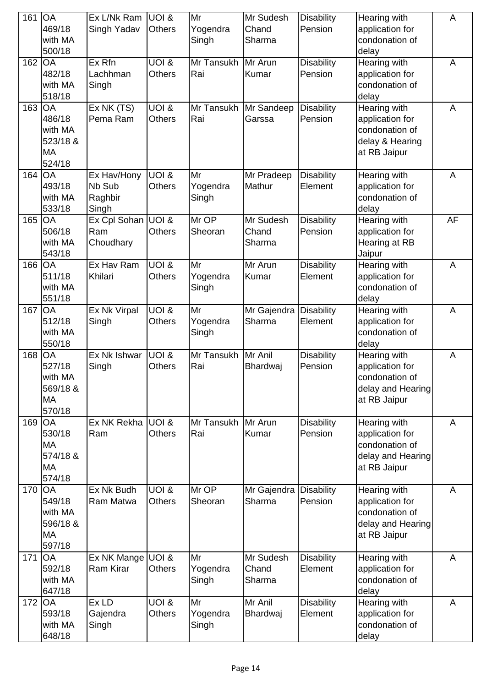| 161 | <b>OA</b><br>469/18<br>with MA<br>500/18                          | Ex L/Nk Ram $ UO $ &<br>Singh Yadav       | <b>Others</b>                                      | Mr<br>Yogendra<br>Singh | Mr Sudesh<br>Chand<br>Sharma | <b>Disability</b><br>Pension | Hearing with<br>application for<br>condonation of<br>delay                             | A              |
|-----|-------------------------------------------------------------------|-------------------------------------------|----------------------------------------------------|-------------------------|------------------------------|------------------------------|----------------------------------------------------------------------------------------|----------------|
| 162 | <b>OA</b><br>482/18<br>with MA<br>518/18                          | Ex Rfn<br>Lachhman<br>Singh               | $U$ $\overline{O}$ $\overline{R}$<br><b>Others</b> | Mr Tansukh<br>Rai       | Mr Arun<br>Kumar             | <b>Disability</b><br>Pension | Hearing with<br>application for<br>condonation of<br>delay                             | A              |
| 163 | <b>OA</b><br>486/18<br>with MA<br>523/18 &<br><b>MA</b><br>524/18 | Ex NK (TS)<br>Pema Ram                    | UOI &<br><b>Others</b>                             | Mr Tansukh<br>Rai       | Mr Sandeep<br>Garssa         | <b>Disability</b><br>Pension | Hearing with<br>application for<br>condonation of<br>delay & Hearing<br>at RB Jaipur   | A              |
| 164 | OA<br>493/18<br>with MA<br>533/18                                 | Ex Hav/Hony<br>Nb Sub<br>Raghbir<br>Singh | $U$ $O$ $I$ &<br><b>Others</b>                     | Mr<br>Yogendra<br>Singh | Mr Pradeep<br>Mathur         | <b>Disability</b><br>Element | Hearing with<br>application for<br>condonation of<br>delay                             | $\overline{A}$ |
| 165 | OA<br>506/18<br>with MA<br>543/18                                 | Ex Cpl Sohan UOI &<br>Ram<br>Choudhary    | <b>Others</b>                                      | Mr OP<br>Sheoran        | Mr Sudesh<br>Chand<br>Sharma | <b>Disability</b><br>Pension | Hearing with<br>application for<br>Hearing at RB<br>Jaipur                             | <b>AF</b>      |
| 166 | OA<br>511/18<br>with MA<br>551/18                                 | Ex Hav Ram<br>Khilari                     | UOI &<br>Others                                    | Mr<br>Yogendra<br>Singh | Mr Arun<br>Kumar             | <b>Disability</b><br>Element | Hearing with<br>application for<br>condonation of<br>delay                             | A              |
| 167 | OA<br>512/18<br>with MA<br>550/18                                 | Ex Nk Virpal<br>Singh                     | UOI &<br><b>Others</b>                             | Mr<br>Yogendra<br>Singh | Mr Gajendra<br>Sharma        | <b>Disability</b><br>Element | Hearing with<br>application for<br>condonation of<br>delay                             | A              |
| 168 | <b>OA</b><br>527/18<br>with MA<br>569/18 &<br>MA<br>570/18        | Ex Nk Ishwar<br>Singh                     | UOI &<br>Others                                    | Mr Tansukh<br>Rai       | Mr Anil<br>Bhardwaj          | <b>Disability</b><br>Pension | Hearing with<br>application for<br>condonation of<br>delay and Hearing<br>at RB Jaipur | A              |
| 169 | <b>OA</b><br>530/18<br>MA<br>574/18 &<br>MA<br>574/18             | Ex NK Rekha<br>Ram                        | UOI &<br><b>Others</b>                             | Mr Tansukh<br>Rai       | Mr Arun<br>Kumar             | <b>Disability</b><br>Pension | Hearing with<br>application for<br>condonation of<br>delay and Hearing<br>at RB Jaipur | A              |
| 170 | OA<br>549/18<br>with MA<br>596/18 &<br>MA<br>597/18               | Ex Nk Budh<br>Ram Matwa                   | UOI &<br><b>Others</b>                             | Mr OP<br>Sheoran        | Mr Gajendra<br>Sharma        | <b>Disability</b><br>Pension | Hearing with<br>application for<br>condonation of<br>delay and Hearing<br>at RB Jaipur | A              |
| 171 | OA<br>592/18<br>with MA<br>647/18                                 | Ex NK Mange UOI &<br>Ram Kirar            | <b>Others</b>                                      | Mr<br>Yogendra<br>Singh | Mr Sudesh<br>Chand<br>Sharma | <b>Disability</b><br>Element | Hearing with<br>application for<br>condonation of<br>delay                             | A              |
| 172 | OA<br>593/18<br>with MA<br>648/18                                 | Ex LD<br>Gajendra<br>Singh                | UOI &<br><b>Others</b>                             | Mr<br>Yogendra<br>Singh | Mr Anil<br>Bhardwaj          | <b>Disability</b><br>Element | Hearing with<br>application for<br>condonation of<br>delay                             | A              |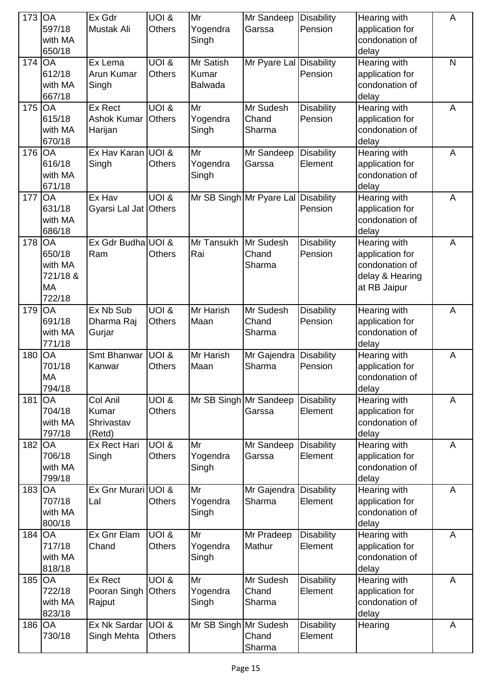| 173 | <b>OA</b><br>597/18<br>with MA<br>650/18                          | Ex Gdr<br>Mustak Ali                      | <b>UOI &amp;</b><br><b>Others</b> | Mr<br>Yogendra<br>Singh              | Mr Sandeep<br>Garssa                | <b>Disability</b><br>Pension | Hearing with<br>application for<br>condonation of<br>delay                           | A                       |
|-----|-------------------------------------------------------------------|-------------------------------------------|-----------------------------------|--------------------------------------|-------------------------------------|------------------------------|--------------------------------------------------------------------------------------|-------------------------|
| 174 | OA<br>612/18<br>with MA<br>667/18                                 | Ex Lema<br>Arun Kumar<br>Singh            | <b>UOI &amp;</b><br><b>Others</b> | Mr Satish<br>Kumar<br><b>Balwada</b> | Mr Pyare Lal Disability             | Pension                      | Hearing with<br>application for<br>condonation of<br>delay                           | $\overline{\mathsf{N}}$ |
| 175 | OA<br>615/18<br>with MA<br>670/18                                 | Ex Rect<br>Ashok Kumar<br>Harijan         | <b>UOI &amp;</b><br><b>Others</b> | Mr<br>Yogendra<br>Singh              | Mr Sudesh<br>Chand<br>Sharma        | <b>Disability</b><br>Pension | Hearing with<br>application for<br>condonation of<br>delay                           | A                       |
| 176 | OA<br>616/18<br>with MA<br>671/18                                 | Ex Hav Karan<br>Singh                     | UOI &<br><b>Others</b>            | Mr<br>Yogendra<br>Singh              | Mr Sandeep<br>Garssa                | <b>Disability</b><br>Element | Hearing with<br>application for<br>condonation of<br>delay                           | A                       |
| 177 | OA<br>631/18<br>with MA<br>686/18                                 | Ex Hav<br>Gyarsi Lal Jat Others           | <b>UOI &amp;</b>                  |                                      | Mr SB Singh Mr Pyare Lal Disability | Pension                      | Hearing with<br>application for<br>condonation of<br>delay                           | A                       |
| 178 | <b>OA</b><br>650/18<br>with MA<br>721/18 &<br><b>MA</b><br>722/18 | Ex Gdr Budha UOI &<br>Ram                 | <b>Others</b>                     | Mr Tansukh<br>Rai                    | Mr Sudesh<br>Chand<br>Sharma        | <b>Disability</b><br>Pension | Hearing with<br>application for<br>condonation of<br>delay & Hearing<br>at RB Jaipur | A                       |
| 179 | OA<br>691/18<br>with MA<br>771/18                                 | Ex Nb Sub<br>Dharma Raj<br>Gurjar         | <b>UOI &amp;</b><br><b>Others</b> | Mr Harish<br>Maan                    | Mr Sudesh<br>Chand<br>Sharma        | <b>Disability</b><br>Pension | Hearing with<br>application for<br>condonation of<br>delay                           | A                       |
| 180 | OA<br>701/18<br><b>IMA</b><br>794/18                              | Smt Bhanwar<br>Kanwar                     | UOI &<br><b>Others</b>            | Mr Harish<br>Maan                    | Mr Gajendra<br>Sharma               | <b>Disability</b><br>Pension | Hearing with<br>application for<br>condonation of<br>delay                           | $\overline{A}$          |
| 181 | OA<br>704/18<br>with MA<br>797/18                                 | Col Anil<br>Kumar<br>Shrivastav<br>(Retd) | <b>UOI &amp;</b><br><b>Others</b> | Mr SB Singh Mr Sandeep               | Garssa                              | <b>Disability</b><br>Element | Hearing with<br>application for<br>condonation of<br>delay                           | A                       |
| 182 | <b>OA</b><br>706/18<br>with MA<br>799/18                          | Ex Rect Hari<br>Singh                     | UOI &<br><b>Others</b>            | Mr<br>Yogendra<br>Singh              | Mr Sandeep<br>Garssa                | <b>Disability</b><br>Element | Hearing with<br>application for<br>condonation of<br>delay                           | A                       |
| 183 | OA<br>707/18<br>with MA<br>800/18                                 | Ex Gnr Murari UOI &<br>Lal                | <b>Others</b>                     | Mr<br>Yogendra<br>Singh              | Mr Gajendra<br>Sharma               | <b>Disability</b><br>Element | Hearing with<br>application for<br>condonation of<br>delay                           | A                       |
| 184 | <b>OA</b><br>717/18<br>with MA<br>818/18                          | Ex Gnr Elam<br>Chand                      | <b>UOI &amp;</b><br><b>Others</b> | Mr<br>Yogendra<br>Singh              | Mr Pradeep<br>Mathur                | <b>Disability</b><br>Element | Hearing with<br>application for<br>condonation of<br>delay                           | A                       |
| 185 | OA<br>722/18<br>with MA<br>823/18                                 | Ex Rect<br>Pooran Singh<br>Rajput         | <b>UOI &amp;</b><br><b>Others</b> | Mr<br>Yogendra<br>Singh              | Mr Sudesh<br>Chand<br>Sharma        | <b>Disability</b><br>Element | Hearing with<br>application for<br>condonation of<br>delay                           | A                       |
| 186 | OA<br>730/18                                                      | Ex Nk Sardar<br>Singh Mehta               | <b>UOI &amp;</b><br><b>Others</b> | Mr SB Singh Mr Sudesh                | Chand<br>Sharma                     | <b>Disability</b><br>Element | Hearing                                                                              | A                       |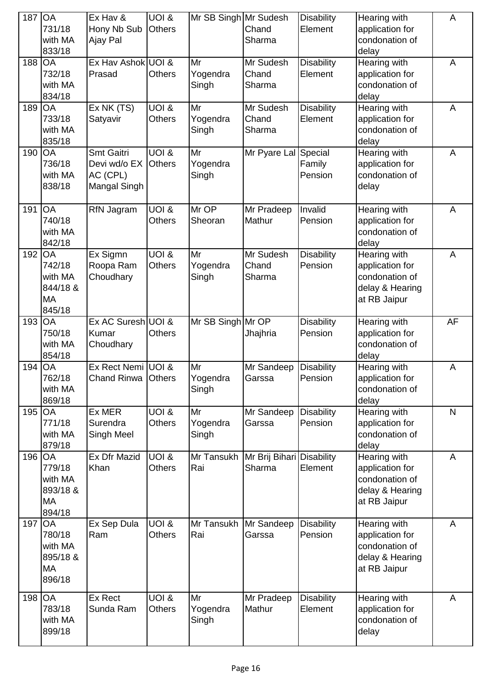| 187 | <b>OA</b><br>731/18<br>with MA<br>833/18            | Ex Hav &<br>Hony Nb Sub<br>Ajay Pal                           | UOI &<br><b>Others</b>                                        | Mr SB Singh Mr Sudesh   | Chand<br>Sharma                     | <b>Disability</b><br>Element | Hearing with<br>application for<br>condonation of<br>delay                           | A              |
|-----|-----------------------------------------------------|---------------------------------------------------------------|---------------------------------------------------------------|-------------------------|-------------------------------------|------------------------------|--------------------------------------------------------------------------------------|----------------|
| 188 | <b>OA</b><br>732/18<br>with MA<br>834/18            | Ex Hav Ashok UOI &<br>Prasad                                  | <b>Others</b>                                                 | Mr<br>Yogendra<br>Singh | Mr Sudesh<br>Chand<br>Sharma        | <b>Disability</b><br>Element | Hearing with<br>application for<br>condonation of<br>delay                           | A              |
| 189 | <b>OA</b><br>733/18<br>with MA<br>835/18            | Ex NK (TS)<br>Satyavir                                        | UOI &<br><b>Others</b>                                        | Mr<br>Yogendra<br>Singh | Mr Sudesh<br>Chand<br>Sharma        | <b>Disability</b><br>Element | Hearing with<br>application for<br>condonation of<br>delay                           | A              |
| 190 | <b>OA</b><br>736/18<br>with MA<br>838/18            | Smt Gaitri<br>Devi wd/o EX Others<br>AC (CPL)<br>Mangal Singh | UOI &                                                         | Mr<br>Yogendra<br>Singh | Mr Pyare Lal Special                | Family<br>Pension            | Hearing with<br>application for<br>condonation of<br>delay                           | A              |
| 191 | OA<br>740/18<br>with MA<br>842/18                   | RfN Jagram                                                    | <b>UOI &amp;</b><br>Others                                    | Mr OP<br>Sheoran        | Mr Pradeep<br>Mathur                | Invalid<br>Pension           | Hearing with<br>application for<br>condonation of<br>delay                           | A              |
| 192 | OA<br>742/18<br>with MA<br>844/18 &<br>MA<br>845/18 | Ex Sigmn<br>Roopa Ram<br>Choudhary                            | <b>UOI &amp;</b><br>Others                                    | Mr<br>Yogendra<br>Singh | Mr Sudesh<br>Chand<br>Sharma        | <b>Disability</b><br>Pension | Hearing with<br>application for<br>condonation of<br>delay & Hearing<br>at RB Jaipur | A              |
| 193 | <b>OA</b><br>750/18<br>with MA<br>854/18            | Ex AC Suresh UOI &<br>Kumar<br>Choudhary                      | <b>Others</b>                                                 | Mr SB Singh Mr OP       | Jhajhria                            | <b>Disability</b><br>Pension | Hearing with<br>application for<br>condonation of<br>delay                           | <b>AF</b>      |
| 194 | OA<br>762/18<br>with MA<br>869/18                   | Ex Rect Nemi UOI &<br>Chand Rinwa Others                      |                                                               | Mr<br>Yogendra<br>Singh | Mr Sandeep<br>Garssa                | <b>Disability</b><br>Pension | Hearing with<br>application for<br>condonation of<br>delay                           | $\overline{A}$ |
| 195 | <b>OA</b><br>771/18<br>with MA<br>879/18            | Ex MER<br>Surendra<br>Singh Meel                              | $\overline{U}$ $\overline{O}$ $\overline{R}$<br><b>Others</b> | Mr<br>Yogendra<br>Singh | Mr Sandeep<br>Garssa                | <b>Disability</b><br>Pension | Hearing with<br>application for<br>condonation of<br>delay                           | $\mathsf{N}$   |
| 196 | OA<br>779/18<br>with MA<br>893/18 &<br>MA<br>894/18 | <b>Ex Dfr Mazid</b><br>Khan                                   | <b>UOI &amp;</b><br><b>Others</b>                             | Mr Tansukh<br>Rai       | Mr Brij Bihari Disability<br>Sharma | Element                      | Hearing with<br>application for<br>condonation of<br>delay & Hearing<br>at RB Jaipur | A              |
| 197 | OA<br>780/18<br>with MA<br>895/18 &<br>MA<br>896/18 | Ex Sep Dula<br>Ram                                            | UOI &<br><b>Others</b>                                        | Mr Tansukh<br>Rai       | Mr Sandeep<br>Garssa                | <b>Disability</b><br>Pension | Hearing with<br>application for<br>condonation of<br>delay & Hearing<br>at RB Jaipur | A              |
| 198 | <b>OA</b><br>783/18<br>with MA<br>899/18            | Ex Rect<br>Sunda Ram                                          | UOI &<br><b>Others</b>                                        | Mr<br>Yogendra<br>Singh | Mr Pradeep<br>Mathur                | <b>Disability</b><br>Element | Hearing with<br>application for<br>condonation of<br>delay                           | A              |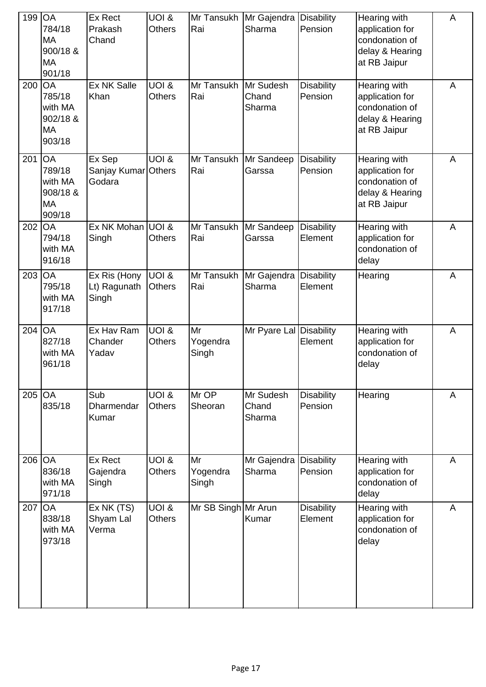| 199      | <b>OA</b><br>784/18<br><b>MA</b><br>900/18 &<br>MA<br>901/18      | Ex Rect<br>Prakash<br>Chand             | UOI &<br><b>Others</b> | Rai                     | Mr Tansukh   Mr Gajendra   Disability<br>Sharma | Pension                      | Hearing with<br>application for<br>condonation of<br>delay & Hearing<br>at RB Jaipur | A              |
|----------|-------------------------------------------------------------------|-----------------------------------------|------------------------|-------------------------|-------------------------------------------------|------------------------------|--------------------------------------------------------------------------------------|----------------|
| 200      | <b>OA</b><br>785/18<br>with MA<br>902/18 &<br><b>MA</b><br>903/18 | <b>Ex NK Salle</b><br>Khan              | UOI &<br><b>Others</b> | Mr Tansukh<br>Rai       | Mr Sudesh<br>Chand<br>Sharma                    | <b>Disability</b><br>Pension | Hearing with<br>application for<br>condonation of<br>delay & Hearing<br>at RB Jaipur | A              |
| 201      | <b>OA</b><br>789/18<br>with MA<br>908/18 &<br><b>MA</b><br>909/18 | Ex Sep<br>Sanjay Kumar Others<br>Godara | UOI &                  | Mr Tansukh<br>Rai       | Mr Sandeep<br>Garssa                            | <b>Disability</b><br>Pension | Hearing with<br>application for<br>condonation of<br>delay & Hearing<br>at RB Jaipur | A              |
| 202      | <b>OA</b><br>794/18<br>with MA<br>916/18                          | Ex NK Mohan UOI &<br>Singh              | <b>Others</b>          | Mr Tansukh<br>Rai       | Mr Sandeep<br>Garssa                            | <b>Disability</b><br>Element | Hearing with<br>application for<br>condonation of<br>delay                           | A              |
| 203      | <b>OA</b><br>795/18<br>with MA<br>917/18                          | Ex Ris (Hony<br>Lt) Ragunath<br>Singh   | UOI &<br><b>Others</b> | Mr Tansukh<br>Rai       | Mr Gajendra<br>Sharma                           | <b>Disability</b><br>Element | Hearing                                                                              | A              |
| 204      | <b>OA</b><br>827/18<br>with MA<br>961/18                          | Ex Hav Ram<br>Chander<br>Yadav          | UOI &<br><b>Others</b> | Mr<br>Yogendra<br>Singh | Mr Pyare Lal Disability                         | Element                      | Hearing with<br>application for<br>condonation of<br>delay                           | A              |
| $205$ OA | 835/18                                                            | Sub<br><b>Dharmendar</b><br>Kumar       | UOI &<br><b>Others</b> | Mr OP<br>Sheoran        | Mr Sudesh<br>Chand<br>Sharma                    | <b>Disability</b><br>Pension | Hearing                                                                              | $\overline{A}$ |
| 206 OA   | 836/18<br>with MA<br>971/18                                       | Ex Rect<br>Gajendra<br>Singh            | UOI &<br><b>Others</b> | Mr<br>Yogendra<br>Singh | Mr Gajendra<br>Sharma                           | <b>Disability</b><br>Pension | Hearing with<br>application for<br>condonation of<br>delay                           | A              |
| 207   OA | 838/18<br>with MA<br>973/18                                       | Ex NK (TS)<br>Shyam Lal<br>Verma        | UOI &<br><b>Others</b> | Mr SB Singh Mr Arun     | Kumar                                           | <b>Disability</b><br>Element | Hearing with<br>application for<br>condonation of<br>delay                           | $\overline{A}$ |